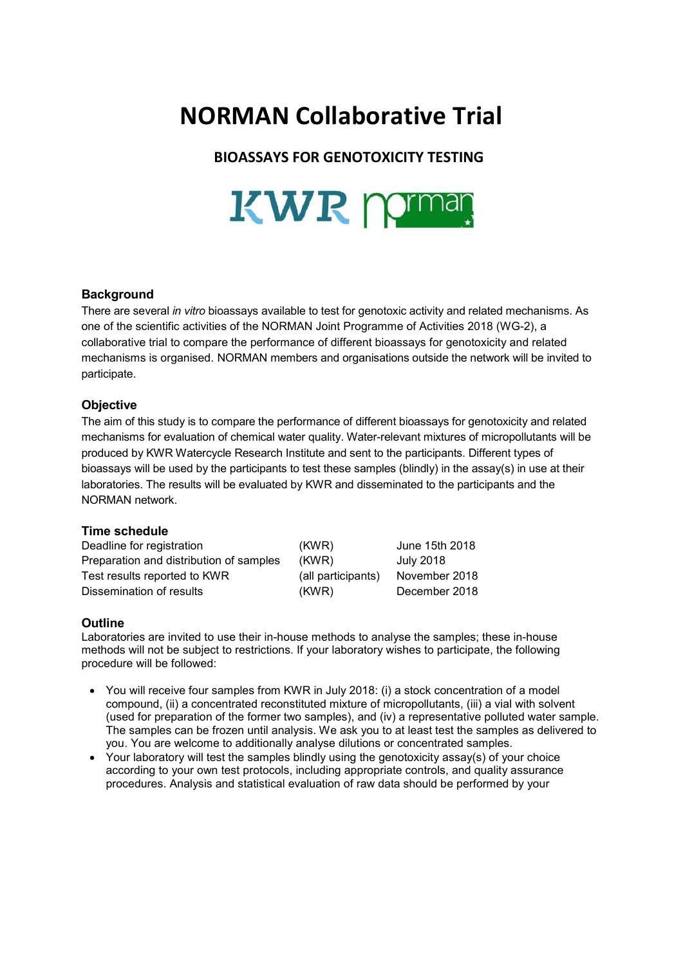# **NORMAN Collaborative Trial**

## **BIOASSAYS FOR GENOTOXICITY TESTING**



### **Background**

There are several *in vitro* bioassays available to test for genotoxic activity and related mechanisms. As one of the scientific activities of the NORMAN Joint Programme of Activities 2018 (WG-2), a collaborative trial to compare the performance of different bioassays for genotoxicity and related mechanisms is organised. NORMAN members and organisations outside the network will be invited to participate.

### **Objective**

The aim of this study is to compare the performance of different bioassays for genotoxicity and related mechanisms for evaluation of chemical water quality. Water-relevant mixtures of micropollutants will be produced by KWR Watercycle Research Institute and sent to the participants. Different types of bioassays will be used by the participants to test these samples (blindly) in the assay(s) in use at their laboratories. The results will be evaluated by KWR and disseminated to the participants and the NORMAN network.

### **Time schedule**

| Deadline for registration               | (KWR)              | June 15th 2018 |
|-----------------------------------------|--------------------|----------------|
| Preparation and distribution of samples | (KWR)              | July 2018      |
| Test results reported to KWR            | (all participants) | November 2018  |
| Dissemination of results                | (KWR)              | December 2018  |

### **Outline**

Laboratories are invited to use their in-house methods to analyse the samples; these in-house methods will not be subject to restrictions. If your laboratory wishes to participate, the following procedure will be followed:

- You will receive four samples from KWR in July 2018: (i) a stock concentration of a model compound, (ii) a concentrated reconstituted mixture of micropollutants, (iii) a vial with solvent (used for preparation of the former two samples), and (iv) a representative polluted water sample. The samples can be frozen until analysis. We ask you to at least test the samples as delivered to you. You are welcome to additionally analyse dilutions or concentrated samples.
- Your laboratory will test the samples blindly using the genotoxicity assay(s) of your choice according to your own test protocols, including appropriate controls, and quality assurance procedures. Analysis and statistical evaluation of raw data should be performed by your